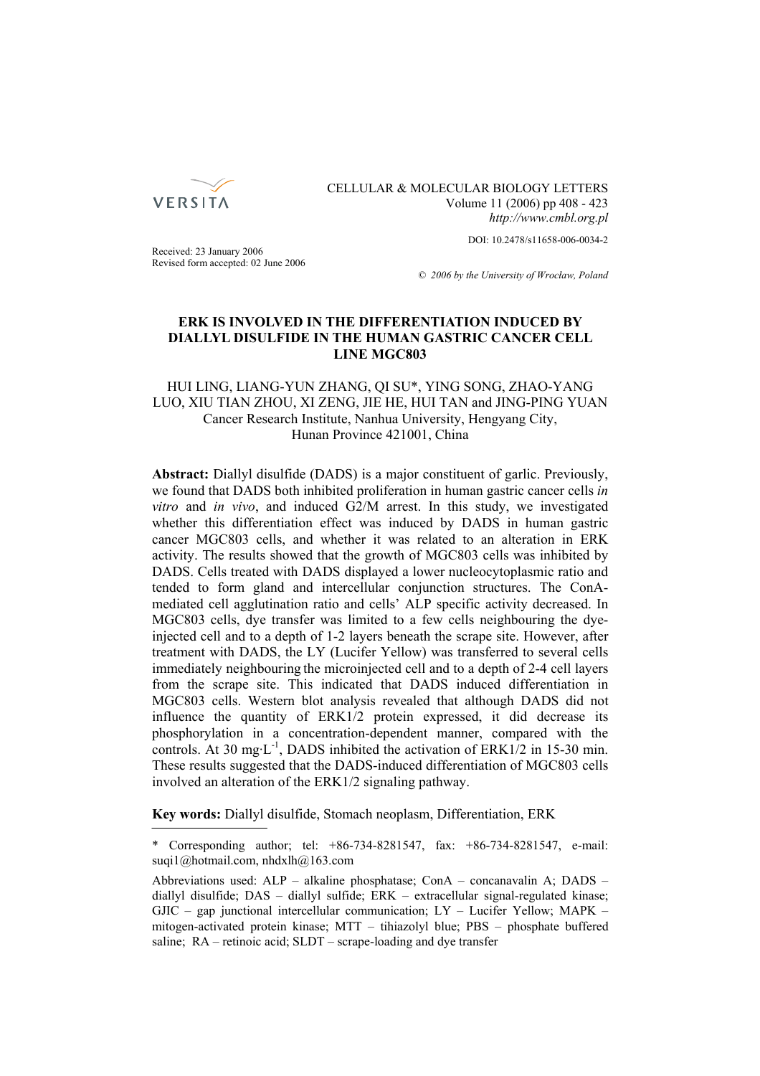

CELLULAR & MOLECULAR BIOLOGY LETTERS Volume 11 (2006) pp 408 - 423 *http://www.cmbl.org.pl*

DOI: 10.2478/s11658-006-0034-2

Received: 23 January 2006 Revised form accepted: 02 June 2006

*© 2006 by the University of Wrocław, Poland*

# **ERK IS INVOLVED IN THE DIFFERENTIATION INDUCED BY DIALLYL DISULFIDE IN THE HUMAN GASTRIC CANCER CELL LINE MGC803**

# HUI LING, LIANG-YUN ZHANG, QI SU\*, YING SONG, ZHAO-YANG LUO, XIU TIAN ZHOU, XI ZENG, JIE HE, HUI TAN and JING-PING YUAN Cancer Research Institute, Nanhua University, Hengyang City, Hunan Province 421001, China

**Abstract:** Diallyl disulfide (DADS) is a major constituent of garlic. Previously, we found that DADS both inhibited proliferation in human gastric cancer cells *in vitro* and *in vivo*, and induced G2/M arrest. In this study, we investigated whether this differentiation effect was induced by DADS in human gastric cancer MGC803 cells, and whether it was related to an alteration in ERK activity. The results showed that the growth of MGC803 cells was inhibited by DADS. Cells treated with DADS displayed a lower nucleocytoplasmic ratio and tended to form gland and intercellular conjunction structures. The ConAmediated cell agglutination ratio and cells' ALP specific activity decreased. In MGC803 cells, dye transfer was limited to a few cells neighbouring the dyeinjected cell and to a depth of 1-2 layers beneath the scrape site. However, after treatment with DADS, the LY (Lucifer Yellow) was transferred to several cells immediately neighbouring the microinjected cell and to a depth of 2-4 cell layers from the scrape site. This indicated that DADS induced differentiation in MGC803 cells. Western blot analysis revealed that although DADS did not influence the quantity of ERK1/2 protein expressed, it did decrease its phosphorylation in a concentration-dependent manner, compared with the controls. At 30 mg·L<sup>-1</sup>, DADS inhibited the activation of ERK1/2 in 15-30 min. These results suggested that the DADS-induced differentiation of MGC803 cells involved an alteration of the ERK1/2 signaling pathway.

**Key words:** Diallyl disulfide, Stomach neoplasm, Differentiation, ERK

<sup>\*</sup> Corresponding author; tel: +86-734-8281547, fax: +86-734-8281547, e-mail: suqi1@hotmail.com, nhdxlh@163.com

Abbreviations used: ALP – alkaline phosphatase; ConA – concanavalin A; DADS – diallyl disulfide; DAS – diallyl sulfide; ERK – extracellular signal-regulated kinase;  $GJIC -$  gap junctional intercellular communication;  $LY -$  Lucifer Yellow; MAPK – mitogen-activated protein kinase; MTT – tihiazolyl blue; PBS – phosphate buffered saline; RA – retinoic acid; SLDT – scrape-loading and dye transfer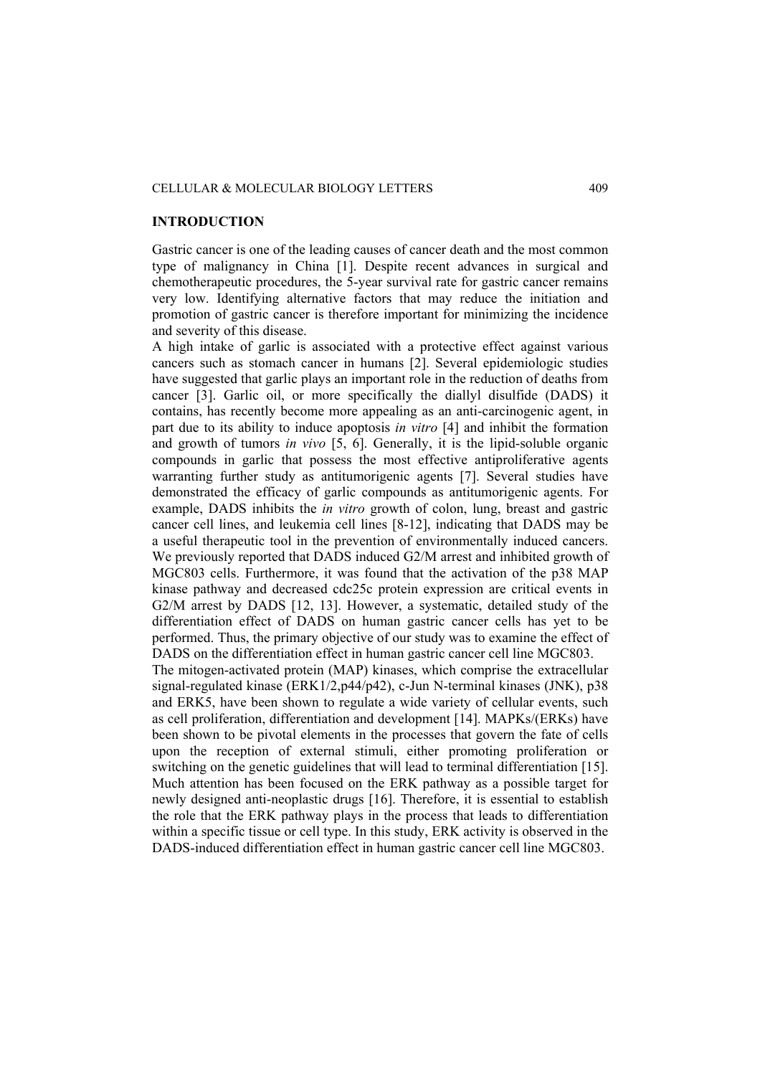# CELLULAR & MOLECULAR BIOLOGY LETTERS 409

# **INTRODUCTION**

Gastric cancer is one of the leading causes of cancer death and the most common type of malignancy in China [1]. Despite recent advances in surgical and chemotherapeutic procedures, the 5-year survival rate for gastric cancer remains very low. Identifying alternative factors that may reduce the initiation and promotion of gastric cancer is therefore important for minimizing the incidence and severity of this disease.

A high intake of garlic is associated with a protective effect against various cancers such as stomach cancer in humans [2]. Several epidemiologic studies have suggested that garlic plays an important role in the reduction of deaths from cancer [3]. Garlic oil, or more specifically the diallyl disulfide (DADS) it contains, has recently become more appealing as an anti-carcinogenic agent, in part due to its ability to induce apoptosis *in vitro* [4] and inhibit the formation and growth of tumors *in vivo* [5, 6]. Generally, it is the lipid-soluble organic compounds in garlic that possess the most effective antiproliferative agents warranting further study as antitumorigenic agents [7]. Several studies have demonstrated the efficacy of garlic compounds as antitumorigenic agents. For example, DADS inhibits the *in vitro* growth of colon, lung, breast and gastric cancer cell lines, and leukemia cell lines [8-12], indicating that DADS may be a useful therapeutic tool in the prevention of environmentally induced cancers. We previously reported that DADS induced G2/M arrest and inhibited growth of MGC803 cells. Furthermore, it was found that the activation of the p38 MAP kinase pathway and decreased cdc25c protein expression are critical events in G2/M arrest by DADS [12, 13]. However, a systematic, detailed study of the differentiation effect of DADS on human gastric cancer cells has yet to be performed. Thus, the primary objective of our study was to examine the effect of DADS on the differentiation effect in human gastric cancer cell line MGC803. The mitogen-activated protein (MAP) kinases, which comprise the extracellular signal-regulated kinase (ERK1/2,p44/p42), c-Jun N-terminal kinases (JNK), p38

and ERK5, have been shown to regulate a wide variety of cellular events, such as cell proliferation, differentiation and development [14]. MAPKs/(ERKs) have been shown to be pivotal elements in the processes that govern the fate of cells upon the reception of external stimuli, either promoting proliferation or switching on the genetic guidelines that will lead to terminal differentiation [15]. Much attention has been focused on the ERK pathway as a possible target for newly designed anti-neoplastic drugs [16]. Therefore, it is essential to establish the role that the ERK pathway plays in the process that leads to differentiation within a specific tissue or cell type. In this study, ERK activity is observed in the DADS-induced differentiation effect in human gastric cancer cell line MGC803.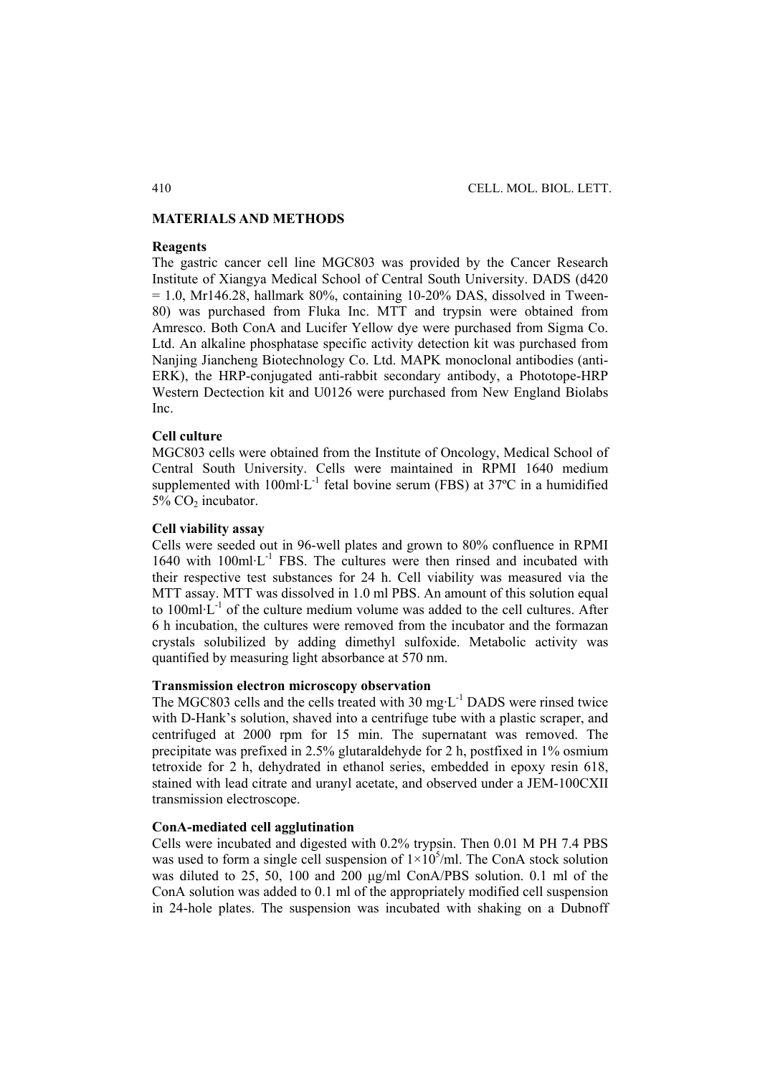# **MATERIALS AND METHODS**

# **Reagents**

The gastric cancer cell line MGC803 was provided by the Cancer Research Institute of Xiangya Medical School of Central South University. DADS (d420  $= 1.0$ , Mr146.28, hallmark 80%, containing 10-20% DAS, dissolved in Tween-80) was purchased from Fluka Inc. MTT and trypsin were obtained from Amresco. Both ConA and Lucifer Yellow dye were purchased from Sigma Co. Ltd. An alkaline phosphatase specific activity detection kit was purchased from Nanjing Jiancheng Biotechnology Co. Ltd. MAPK monoclonal antibodies (anti-ERK), the HRP-conjugated anti-rabbit secondary antibody, a Phototope-HRP Western Dectection kit and U0126 were purchased from New England Biolabs Inc.

# **Cell culture**

MGC803 cells were obtained from the Institute of Oncology, Medical School of Central South University. Cells were maintained in RPMI 1640 medium supplemented with  $100$ ml·L<sup>-1</sup> fetal bovine serum (FBS) at  $37^{\circ}$ C in a humidified 5% CO<sub>2</sub> incubator.

#### **Cell viability assay**

Cells were seeded out in 96-well plates and grown to 80% confluence in RPMI  $1640$  with  $100$ ml·L<sup>-1</sup> FBS. The cultures were then rinsed and incubated with their respective test substances for 24 h. Cell viability was measured via the MTT assay. MTT was dissolved in 1.0 ml PBS. An amount of this solution equal to 100ml $\cdot$ L<sup>-1</sup> of the culture medium volume was added to the cell cultures. After 6 h incubation, the cultures were removed from the incubator and the formazan crystals solubilized by adding dimethyl sulfoxide. Metabolic activity was quantified by measuring light absorbance at 570 nm.

# **Transmission electron microscopy observation**

The MGC803 cells and the cells treated with 30 mg·L<sup>-1</sup> DADS were rinsed twice with D-Hank's solution, shaved into a centrifuge tube with a plastic scraper, and centrifuged at 2000 rpm for 15 min. The supernatant was removed. The precipitate was prefixed in 2.5% glutaraldehyde for 2 h, postfixed in 1% osmium tetroxide for 2 h, dehydrated in ethanol series, embedded in epoxy resin 618, stained with lead citrate and uranyl acetate, and observed under a JEM-100CXII transmission electroscope.

# **ConA-mediated cell agglutination**

Cells were incubated and digested with 0.2% trypsin. Then 0.01 M PH 7.4 PBS was used to form a single cell suspension of  $1 \times 10^5$ /ml. The ConA stock solution was diluted to 25, 50, 100 and 200 μg/ml ConA/PBS solution. 0.1 ml of the ConA solution was added to 0.1 ml of the appropriately modified cell suspension in 24-hole plates. The suspension was incubated with shaking on a Dubnoff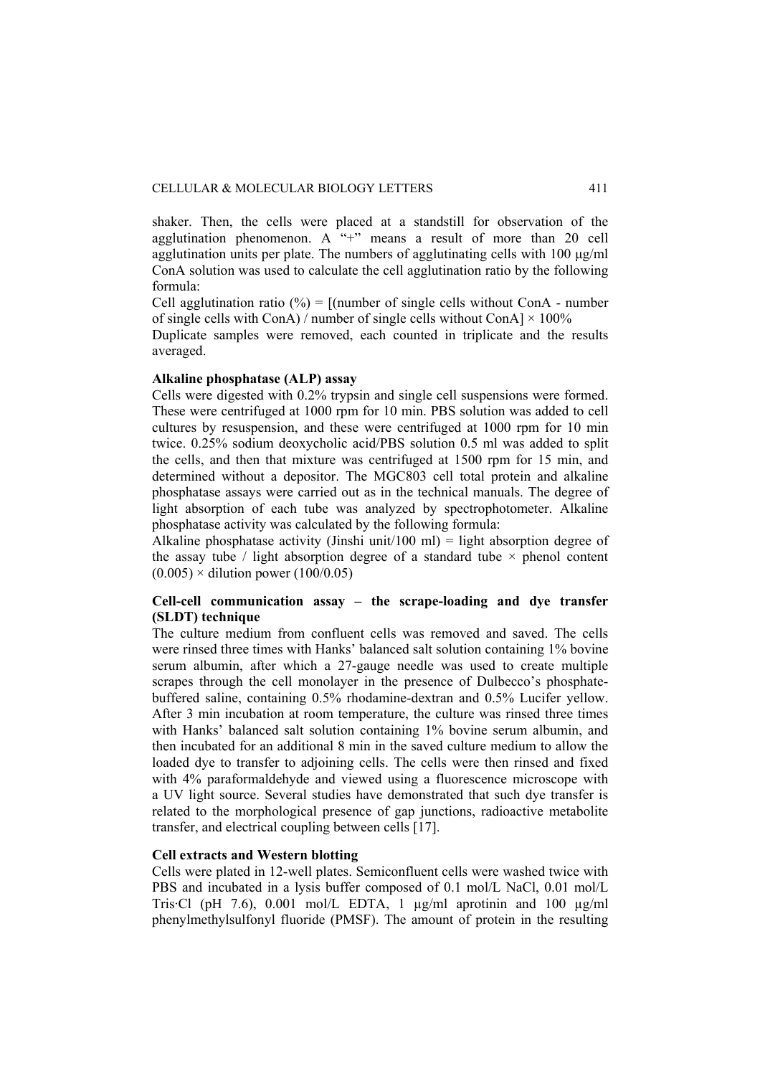shaker. Then, the cells were placed at a standstill for observation of the agglutination phenomenon. A "+" means a result of more than 20 cell agglutination units per plate. The numbers of agglutinating cells with 100 μg/ml ConA solution was used to calculate the cell agglutination ratio by the following formula:

Cell agglutination ratio  $(\% ) = [$ (number of single cells without ConA - number of single cells with ConA) / number of single cells without ConA $\vert \times 100\% \vert$ 

Duplicate samples were removed, each counted in triplicate and the results averaged.

#### **Alkaline phosphatase (ALP) assay**

Cells were digested with 0.2% trypsin and single cell suspensions were formed. These were centrifuged at 1000 rpm for 10 min. PBS solution was added to cell cultures by resuspension, and these were centrifuged at 1000 rpm for 10 min twice. 0.25% sodium deoxycholic acid/PBS solution 0.5 ml was added to split the cells, and then that mixture was centrifuged at 1500 rpm for 15 min, and determined without a depositor. The MGC803 cell total protein and alkaline phosphatase assays were carried out as in the technical manuals. The degree of light absorption of each tube was analyzed by spectrophotometer. Alkaline phosphatase activity was calculated by the following formula:

Alkaline phosphatase activity (Jinshi unit/100 ml) = light absorption degree of the assay tube / light absorption degree of a standard tube  $\times$  phenol content  $(0.005)$  × dilution power (100/0.05)

# **Cell-cell communication assay – the scrape-loading and dye transfer (SLDT) technique**

The culture medium from confluent cells was removed and saved. The cells were rinsed three times with Hanks' balanced salt solution containing 1% bovine serum albumin, after which a 27-gauge needle was used to create multiple scrapes through the cell monolayer in the presence of Dulbecco's phosphatebuffered saline, containing 0.5% rhodamine-dextran and 0.5% Lucifer yellow. After 3 min incubation at room temperature, the culture was rinsed three times with Hanks' balanced salt solution containing 1% bovine serum albumin, and then incubated for an additional 8 min in the saved culture medium to allow the loaded dye to transfer to adjoining cells. The cells were then rinsed and fixed with 4% paraformaldehyde and viewed using a fluorescence microscope with a UV light source. Several studies have demonstrated that such dye transfer is related to the morphological presence of gap junctions, radioactive metabolite transfer, and electrical coupling between cells [17].

# **Cell extracts and Western blotting**

Cells were plated in 12-well plates. Semiconfluent cells were washed twice with PBS and incubated in a lysis buffer composed of 0.1 mol/L NaCl, 0.01 mol/L Tris·Cl (pH 7.6), 0.001 mol/L EDTA, 1  $\mu$ g/ml aprotinin and 100  $\mu$ g/ml phenylmethylsulfonyl fluoride (PMSF). The amount of protein in the resulting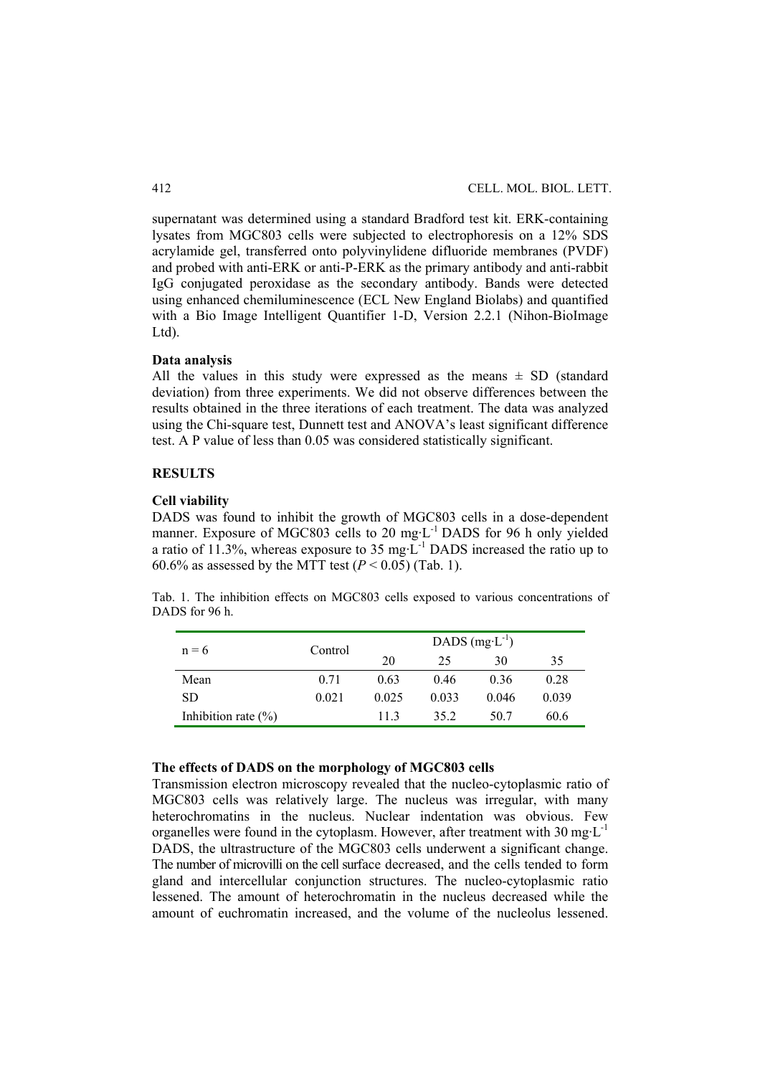supernatant was determined using a standard Bradford test kit. ERK-containing lysates from MGC803 cells were subjected to electrophoresis on a 12% SDS acrylamide gel, transferred onto polyvinylidene difluoride membranes (PVDF) and probed with anti-ERK or anti-P-ERK as the primary antibody and anti-rabbit IgG conjugated peroxidase as the secondary antibody. Bands were detected using enhanced chemiluminescence (ECL New England Biolabs) and quantified with a Bio Image Intelligent Quantifier 1-D, Version 2.2.1 (Nihon-BioImage Ltd).

### **Data analysis**

All the values in this study were expressed as the means  $\pm$  SD (standard deviation) from three experiments. We did not observe differences between the results obtained in the three iterations of each treatment. The data was analyzed using the Chi-square test, Dunnett test and ANOVA's least significant difference test. A P value of less than 0.05 was considered statistically significant.

### **RESULTS**

#### **Cell viability**

DADS was found to inhibit the growth of MGC803 cells in a dose-dependent manner. Exposure of MGC803 cells to 20 mg·L<sup>-1</sup> DADS for 96 h only yielded a ratio of 11.3%, whereas exposure to 35 mg $\text{L}^{-1}$  DADS increased the ratio up to 60.6% as assessed by the MTT test  $(P < 0.05)$  (Tab. 1).

Tab. 1. The inhibition effects on MGC803 cells exposed to various concentrations of DADS for 96 h.

| $n = 6$                 | Control | DADS $(mg-1)$ |       |       |       |  |
|-------------------------|---------|---------------|-------|-------|-------|--|
|                         |         | 20            | 25    | 30    | 35    |  |
| Mean                    | 0.71    | 0.63          | 0.46  | 0.36  | 0.28  |  |
| SD.                     | 0.021   | 0.025         | 0.033 | 0.046 | 0.039 |  |
| Inhibition rate $(\% )$ |         | 113           | 35.2  | 50.7  | 60.6  |  |

#### **The effects of DADS on the morphology of MGC803 cells**

Transmission electron microscopy revealed that the nucleo-cytoplasmic ratio of MGC803 cells was relatively large. The nucleus was irregular, with many heterochromatins in the nucleus. Nuclear indentation was obvious. Few organelles were found in the cytoplasm. However, after treatment with  $30 \text{ mg} \cdot L^{-1}$ DADS, the ultrastructure of the MGC803 cells underwent a significant change. The number of microvilli on the cell surface decreased, and the cells tended to form gland and intercellular conjunction structures. The nucleo-cytoplasmic ratio lessened. The amount of heterochromatin in the nucleus decreased while the amount of euchromatin increased, and the volume of the nucleolus lessened.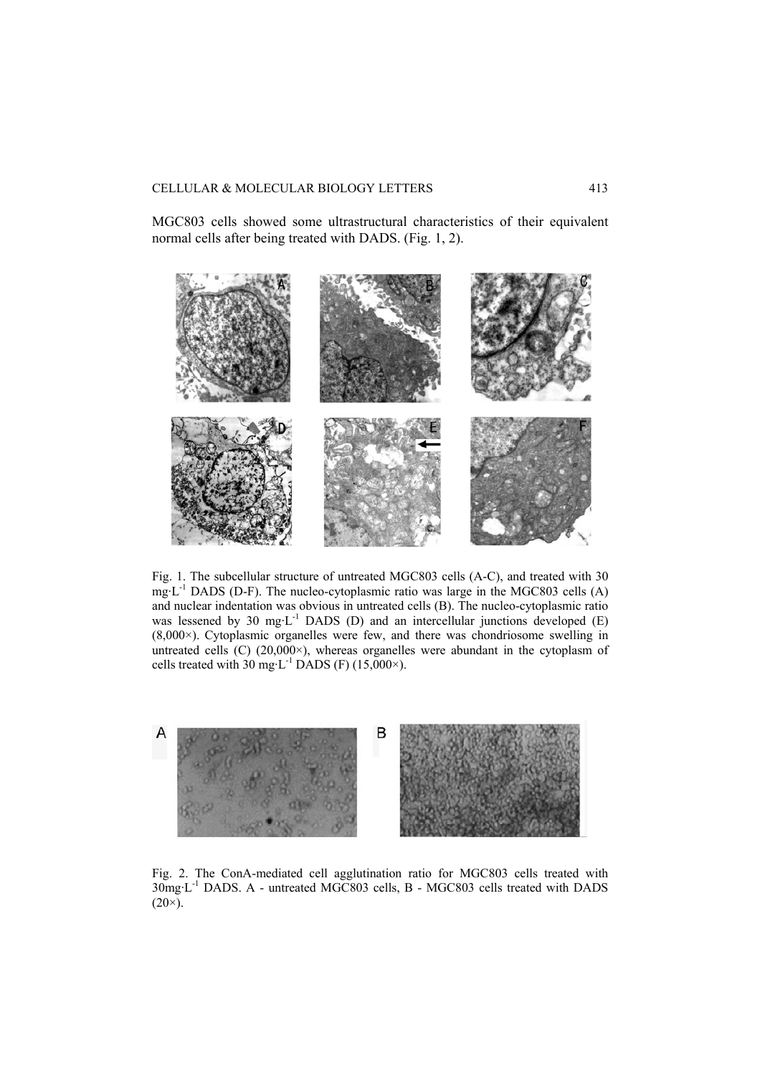MGC803 cells showed some ultrastructural characteristics of their equivalent normal cells after being treated with DADS. (Fig. 1, 2).



Fig. 1. The subcellular structure of untreated MGC803 cells (A-C), and treated with 30 mg·L-1 DADS (D-F). The nucleo-cytoplasmic ratio was large in the MGC803 cells (A) and nuclear indentation was obvious in untreated cells (B). The nucleo-cytoplasmic ratio was lessened by 30 mg·L<sup>-1</sup> DADS (D) and an intercellular junctions developed (E) (8,000×). Cytoplasmic organelles were few, and there was chondriosome swelling in untreated cells  $(C)$  (20,000 $\times$ ), whereas organelles were abundant in the cytoplasm of cells treated with  $30 \text{ mg} \cdot L^{-1}$  DADS (F) (15,000 $\times$ ).



Fig. 2. The ConA-mediated cell agglutination ratio for MGC803 cells treated with 30mg·L-1 DADS. A - untreated MGC803 cells, B - MGC803 cells treated with DADS  $(20\times).$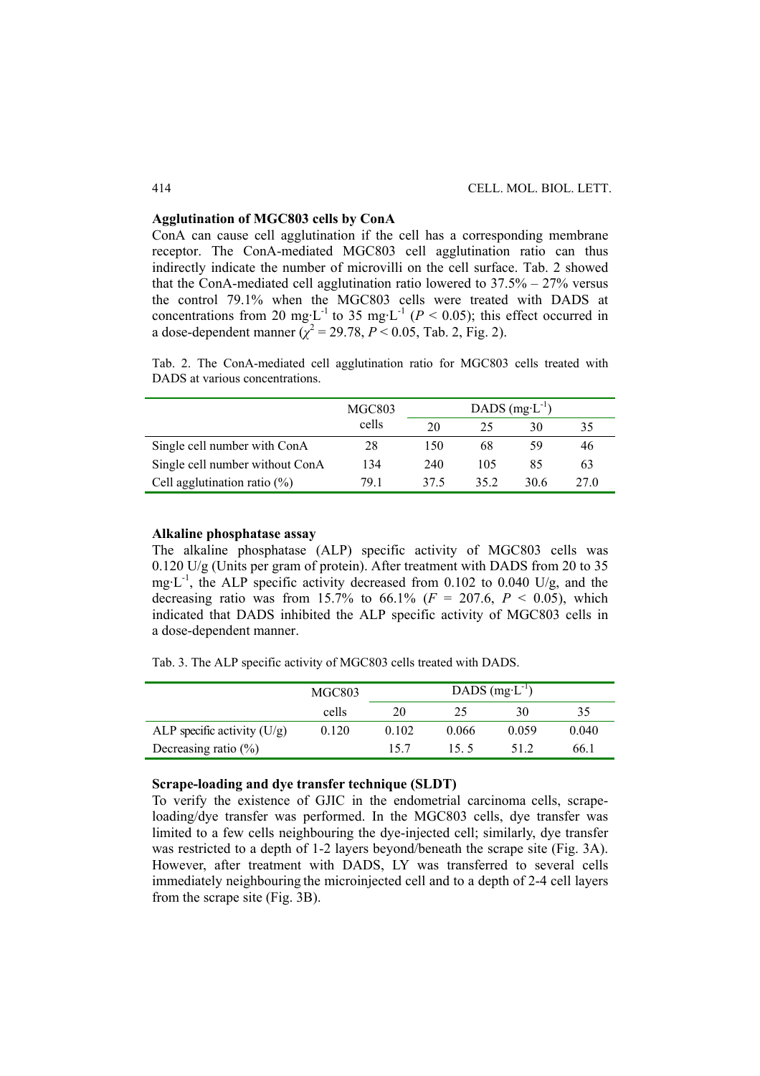#### **Agglutination of MGC803 cells by ConA**

ConA can cause cell agglutination if the cell has a corresponding membrane receptor. The ConA-mediated MGC803 cell agglutination ratio can thus indirectly indicate the number of microvilli on the cell surface. Tab. 2 showed that the ConA-mediated cell agglutination ratio lowered to 37.5% – 27% versus the control 79.1% when the MGC803 cells were treated with DADS at concentrations from 20 mg·L<sup>-1</sup> to 35 mg·L<sup>-1</sup> ( $P < 0.05$ ); this effect occurred in a dose-dependent manner  $(\chi^2 = 29.78, P \le 0.05,$  Tab. 2, Fig. 2).

Tab. 2. The ConA-mediated cell agglutination ratio for MGC803 cells treated with DADS at various concentrations.

|                                 | MGC803 | DADS $(mg-1)$ |     |      |      |
|---------------------------------|--------|---------------|-----|------|------|
|                                 | cells  | 20            | 25  | 30   | 35   |
| Single cell number with ConA    | 28     | 150           | 68  | 59   | 46   |
| Single cell number without ConA | 134    | 240           | 105 | 85   | 63   |
| Cell agglutination ratio $(\%)$ | 79 1   | 37.5          | 352 | 30.6 | 27 0 |

#### **Alkaline phosphatase assay**

The alkaline phosphatase (ALP) specific activity of MGC803 cells was 0.120 U/g (Units per gram of protein). After treatment with DADS from 20 to 35 mg $\text{L}^{-1}$ , the ALP specific activity decreased from 0.102 to 0.040 U/g, and the decreasing ratio was from 15.7% to 66.1% ( $F = 207.6$ ,  $P < 0.05$ ), which indicated that DADS inhibited the ALP specific activity of MGC803 cells in a dose-dependent manner.

Tab. 3. The ALP specific activity of MGC803 cells treated with DADS.

|                               | MGC803 | DADS $(mg-1)$ |       |       |       |
|-------------------------------|--------|---------------|-------|-------|-------|
|                               | cells  | 20            | 25    | 30    | 35    |
| ALP specific activity $(U/g)$ | 0.120  | 0.102         | 0.066 | 0.059 | 0.040 |
| Decreasing ratio $(\% )$      |        | 157           | 155   | 512   | 66.1  |

#### **Scrape-loading and dye transfer technique (SLDT)**

To verify the existence of GJIC in the endometrial carcinoma cells, scrapeloading/dye transfer was performed. In the MGC803 cells, dye transfer was limited to a few cells neighbouring the dye-injected cell; similarly, dye transfer was restricted to a depth of 1-2 layers beyond/beneath the scrape site (Fig. 3A). However, after treatment with DADS, LY was transferred to several cells immediately neighbouring the microinjected cell and to a depth of 2-4 cell layers from the scrape site (Fig. 3B).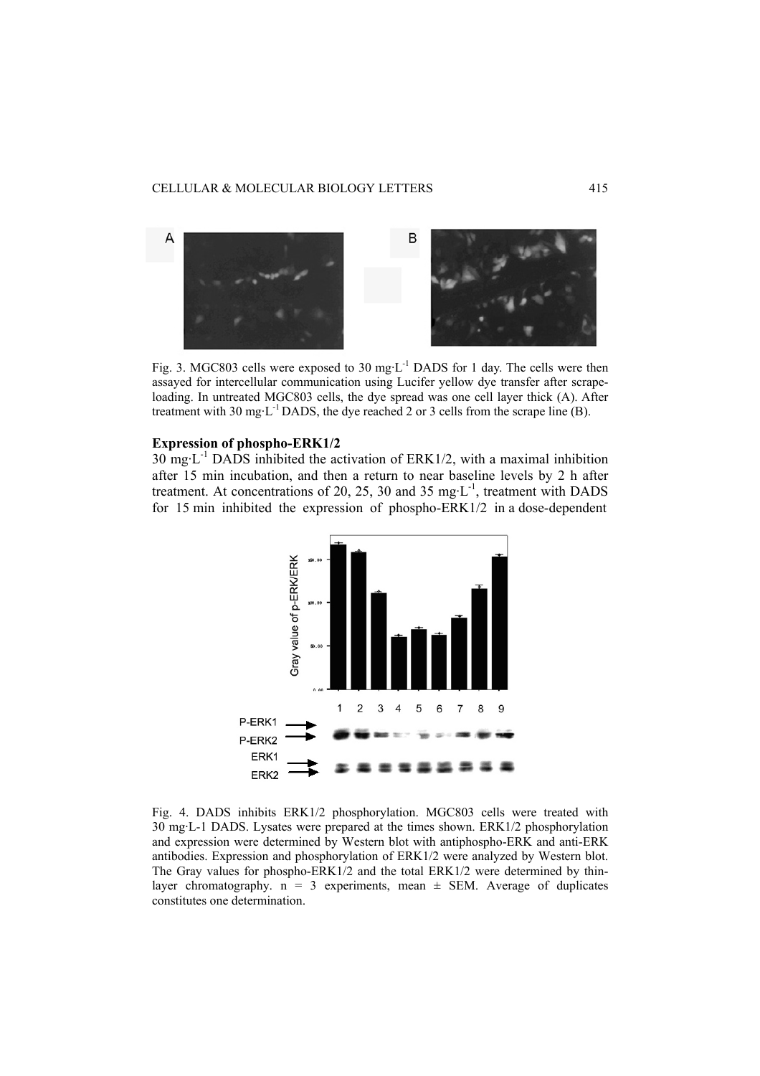

Fig. 3. MGC803 cells were exposed to 30 mg·L<sup>-1</sup> DADS for 1 day. The cells were then assayed for intercellular communication using Lucifer yellow dye transfer after scrapeloading. In untreated MGC803 cells, the dye spread was one cell layer thick (A). After treatment with 30 mg·L<sup>-1</sup> DADS, the dye reached 2 or 3 cells from the scrape line (B).

# **Expression of phospho-ERK1/2**

 $30 \text{ mg} \cdot L^{-1}$  DADS inhibited the activation of ERK1/2, with a maximal inhibition after 15 min incubation, and then a return to near baseline levels by 2 h after treatment. At concentrations of 20, 25, 30 and 35 mg $\cdot L^{-1}$ , treatment with DADS for 15 min inhibited the expression of phospho-ERK1/2 in a dose-dependent



Fig. 4. DADS inhibits ERK1/2 phosphorylation. MGC803 cells were treated with 30 mg·L-1 DADS. Lysates were prepared at the times shown. ERK1/2 phosphorylation and expression were determined by Western blot with antiphospho-ERK and anti-ERK antibodies. Expression and phosphorylation of ERK1/2 were analyzed by Western blot. The Gray values for phospho-ERK1/2 and the total ERK1/2 were determined by thinlayer chromatography.  $n = 3$  experiments, mean  $\pm$  SEM. Average of duplicates constitutes one determination.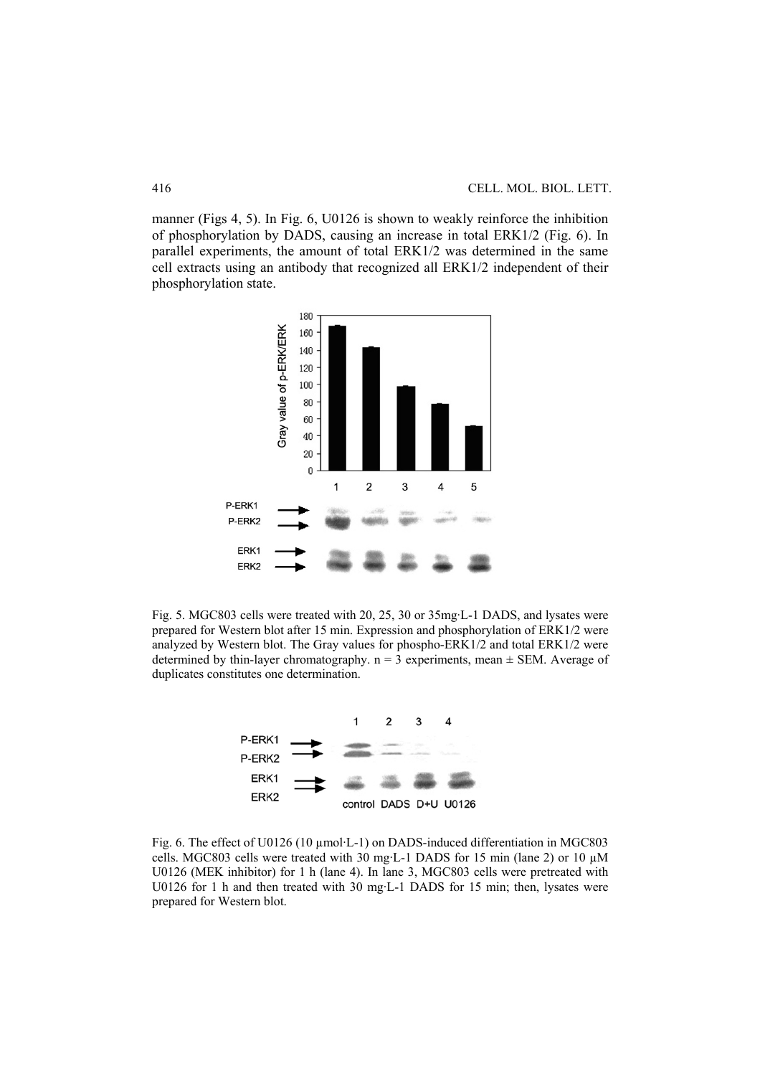manner (Figs 4, 5). In Fig. 6, U0126 is shown to weakly reinforce the inhibition of phosphorylation by DADS, causing an increase in total ERK1/2 (Fig. 6). In parallel experiments, the amount of total ERK1/2 was determined in the same cell extracts using an antibody that recognized all ERK1/2 independent of their phosphorylation state.



Fig. 5. MGC803 cells were treated with 20, 25, 30 or 35mg·L-1 DADS, and lysates were prepared for Western blot after 15 min. Expression and phosphorylation of ERK1/2 were analyzed by Western blot. The Gray values for phospho-ERK1/2 and total ERK1/2 were determined by thin-layer chromatography.  $n = 3$  experiments, mean  $\pm$  SEM. Average of duplicates constitutes one determination.



Fig. 6. The effect of U0126 (10 µmol·L-1) on DADS-induced differentiation in MGC803 cells. MGC803 cells were treated with 30 mg·L-1 DADS for 15 min (lane 2) or 10 µM U0126 (MEK inhibitor) for 1 h (lane 4). In lane 3, MGC803 cells were pretreated with U0126 for 1 h and then treated with 30 mg·L-1 DADS for 15 min; then, lysates were prepared for Western blot.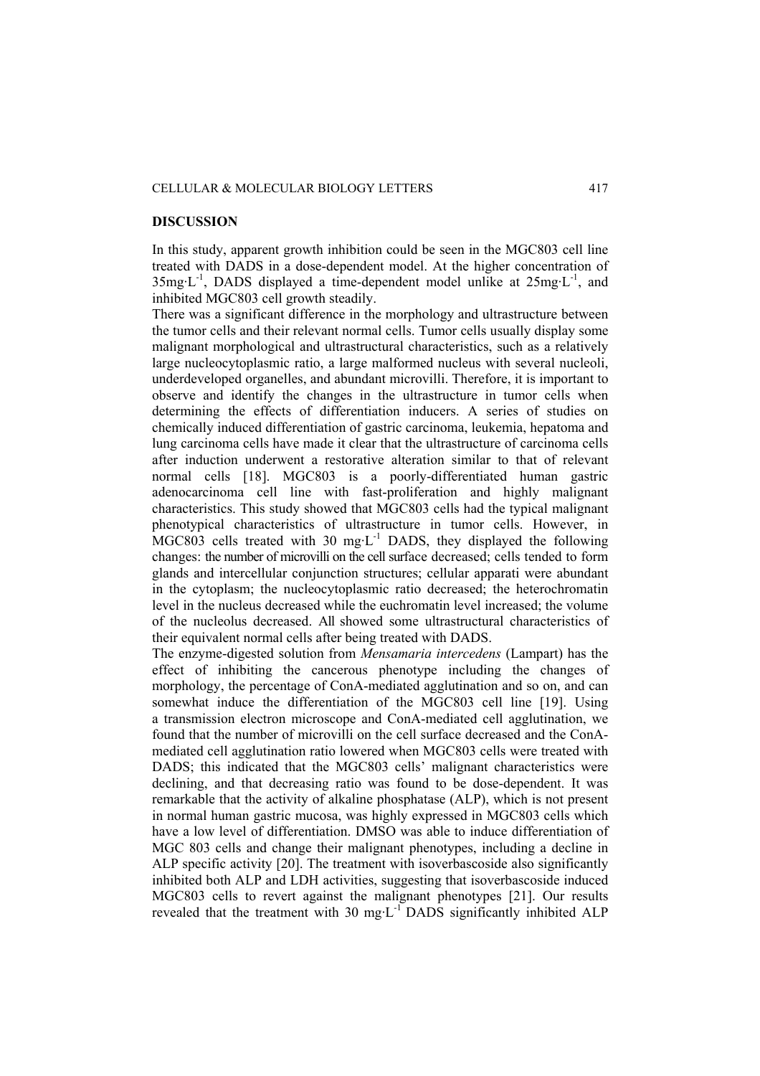#### CELLULAR & MOLECULAR BIOLOGY LETTERS 417

# **DISCUSSION**

In this study, apparent growth inhibition could be seen in the MGC803 cell line treated with DADS in a dose-dependent model. At the higher concentration of  $35mg \cdot L^{-1}$ , DADS displayed a time-dependent model unlike at  $25mg \cdot L^{-1}$ , and inhibited MGC803 cell growth steadily.

There was a significant difference in the morphology and ultrastructure between the tumor cells and their relevant normal cells. Tumor cells usually display some malignant morphological and ultrastructural characteristics, such as a relatively large nucleocytoplasmic ratio, a large malformed nucleus with several nucleoli, underdeveloped organelles, and abundant microvilli. Therefore, it is important to observe and identify the changes in the ultrastructure in tumor cells when determining the effects of differentiation inducers. A series of studies on chemically induced differentiation of gastric carcinoma, leukemia, hepatoma and lung carcinoma cells have made it clear that the ultrastructure of carcinoma cells after induction underwent a restorative alteration similar to that of relevant normal cells [18]. MGC803 is a poorly-differentiated human gastric adenocarcinoma cell line with fast-proliferation and highly malignant characteristics. This study showed that MGC803 cells had the typical malignant phenotypical characteristics of ultrastructure in tumor cells. However, in  $MGC803$  cells treated with 30 mg·L<sup>-1</sup> DADS, they displayed the following changes: the number of microvilli on the cell surface decreased; cells tended to form glands and intercellular conjunction structures; cellular apparati were abundant in the cytoplasm; the nucleocytoplasmic ratio decreased; the heterochromatin level in the nucleus decreased while the euchromatin level increased; the volume of the nucleolus decreased. All showed some ultrastructural characteristics of their equivalent normal cells after being treated with DADS.

The enzyme-digested solution from *Mensamaria intercedens* (Lampart) has the effect of inhibiting the cancerous phenotype including the changes of morphology, the percentage of ConA-mediated agglutination and so on, and can somewhat induce the differentiation of the MGC803 cell line [19]. Using a transmission electron microscope and ConA-mediated cell agglutination, we found that the number of microvilli on the cell surface decreased and the ConAmediated cell agglutination ratio lowered when MGC803 cells were treated with DADS; this indicated that the MGC803 cells' malignant characteristics were declining, and that decreasing ratio was found to be dose-dependent. It was remarkable that the activity of alkaline phosphatase (ALP), which is not present in normal human gastric mucosa, was highly expressed in MGC803 cells which have a low level of differentiation. DMSO was able to induce differentiation of MGC 803 cells and change their malignant phenotypes, including a decline in ALP specific activity [20]. The treatment with isoverbascoside also significantly inhibited both ALP and LDH activities, suggesting that isoverbascoside induced MGC803 cells to revert against the malignant phenotypes [21]. Our results revealed that the treatment with 30 mg·L<sup>-1</sup> DADS significantly inhibited ALP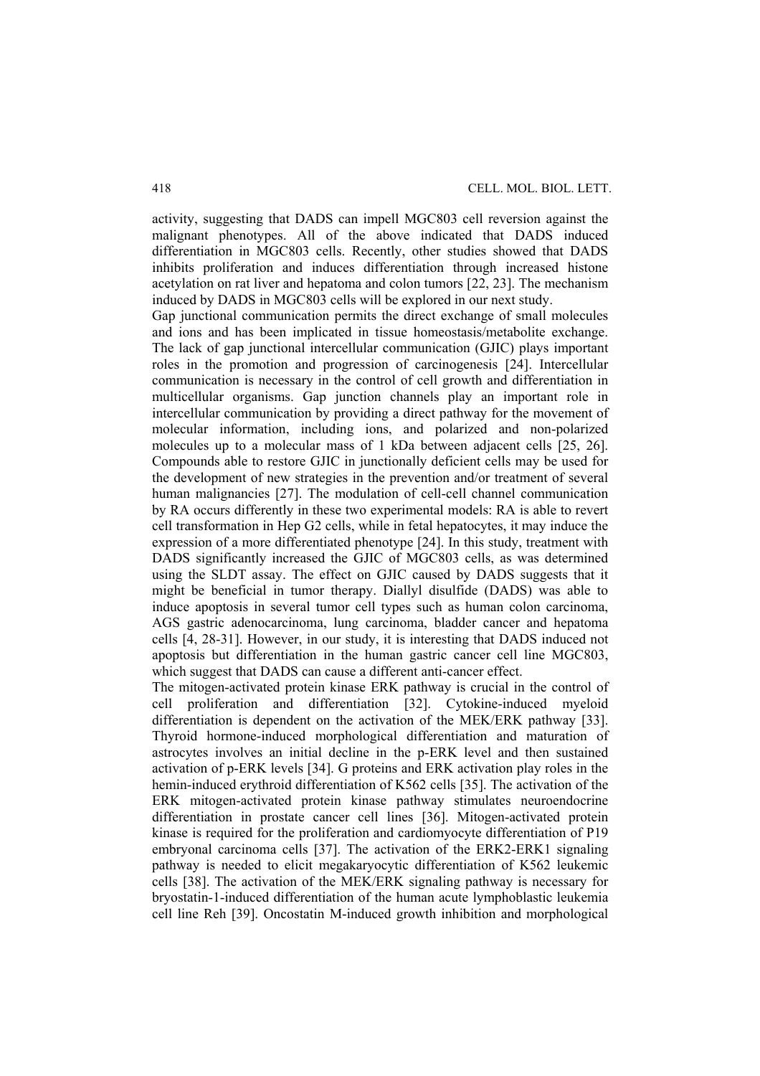activity, suggesting that DADS can impell MGC803 cell reversion against the malignant phenotypes. All of the above indicated that DADS induced differentiation in MGC803 cells. Recently, other studies showed that DADS inhibits proliferation and induces differentiation through increased histone acetylation on rat liver and hepatoma and colon tumors [22, 23]. The mechanism induced by DADS in MGC803 cells will be explored in our next study.

Gap junctional communication permits the direct exchange of small molecules and ions and has been implicated in tissue homeostasis/metabolite exchange. The lack of gap junctional intercellular communication (GJIC) plays important roles in the promotion and progression of carcinogenesis [24]. Intercellular communication is necessary in the control of cell growth and differentiation in multicellular organisms. Gap junction channels play an important role in intercellular communication by providing a direct pathway for the movement of molecular information, including ions, and polarized and non-polarized molecules up to a molecular mass of 1 kDa between adjacent cells [25, 26]. Compounds able to restore GJIC in junctionally deficient cells may be used for the development of new strategies in the prevention and/or treatment of several human malignancies [27]. The modulation of cell-cell channel communication by RA occurs differently in these two experimental models: RA is able to revert cell transformation in Hep G2 cells, while in fetal hepatocytes, it may induce the expression of a more differentiated phenotype [24]. In this study, treatment with DADS significantly increased the GJIC of MGC803 cells, as was determined using the SLDT assay. The effect on GJIC caused by DADS suggests that it might be beneficial in tumor therapy. Diallyl disulfide (DADS) was able to induce apoptosis in several tumor cell types such as human colon carcinoma, AGS gastric adenocarcinoma, lung carcinoma, bladder cancer and hepatoma cells [4, 28-31]. However, in our study, it is interesting that DADS induced not apoptosis but differentiation in the human gastric cancer cell line MGC803, which suggest that DADS can cause a different anti-cancer effect.

The mitogen-activated protein kinase ERK pathway is crucial in the control of cell proliferation and differentiation [32]. Cytokine-induced myeloid differentiation is dependent on the activation of the MEK/ERK pathway [33]. Thyroid hormone-induced morphological differentiation and maturation of astrocytes involves an initial decline in the p-ERK level and then sustained activation of p-ERK levels [34]. G proteins and ERK activation play roles in the hemin-induced erythroid differentiation of K562 cells [35]. The activation of the ERK mitogen-activated protein kinase pathway stimulates neuroendocrine differentiation in prostate cancer cell lines [36]. Mitogen-activated protein kinase is required for the proliferation and cardiomyocyte differentiation of P19 embryonal carcinoma cells [37]. The activation of the ERK2-ERK1 signaling pathway is needed to elicit megakaryocytic differentiation of K562 leukemic cells [38]. The activation of the MEK/ERK signaling pathway is necessary for bryostatin-1-induced differentiation of the human acute lymphoblastic leukemia cell line Reh [39]. Oncostatin M-induced growth inhibition and morphological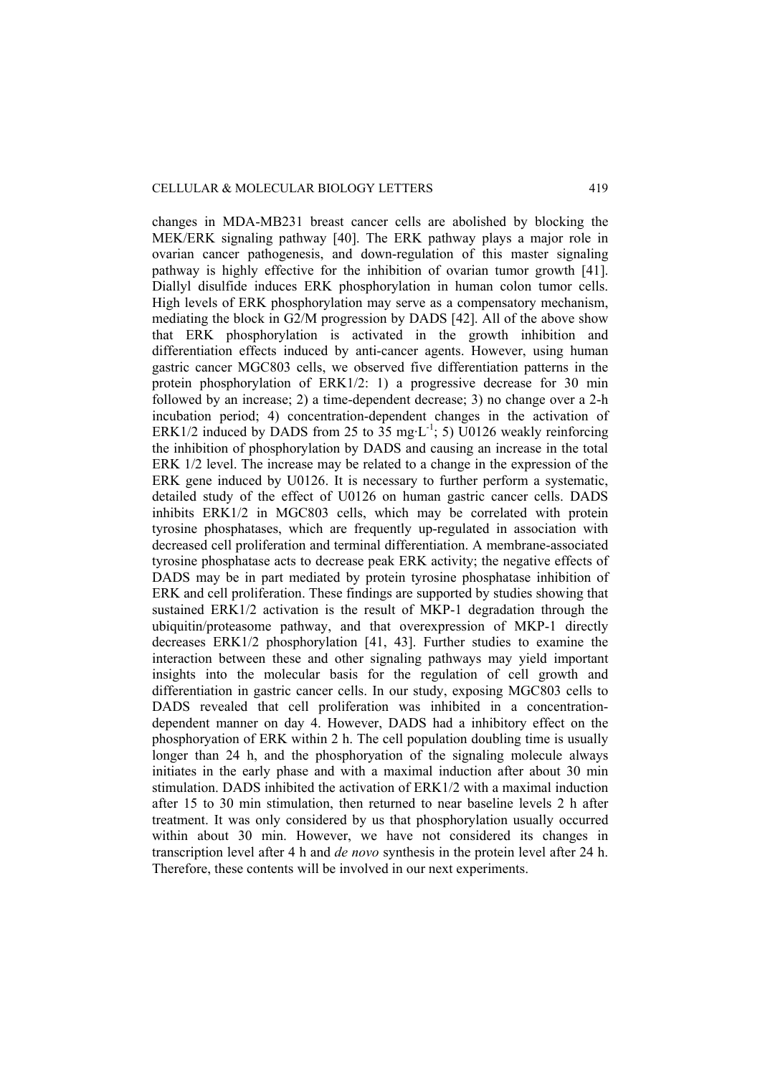changes in MDA-MB231 breast cancer cells are abolished by blocking the MEK/ERK signaling pathway [40]. The ERK pathway plays a major role in ovarian cancer pathogenesis, and down-regulation of this master signaling pathway is highly effective for the inhibition of ovarian tumor growth [41]. Diallyl disulfide induces ERK phosphorylation in human colon tumor cells. High levels of ERK phosphorylation may serve as a compensatory mechanism, mediating the block in G2/M progression by DADS [42]. All of the above show that ERK phosphorylation is activated in the growth inhibition and differentiation effects induced by anti-cancer agents. However, using human gastric cancer MGC803 cells, we observed five differentiation patterns in the protein phosphorylation of ERK1/2: 1) a progressive decrease for 30 min followed by an increase; 2) a time-dependent decrease; 3) no change over a 2-h incubation period; 4) concentration-dependent changes in the activation of ERK1/2 induced by DADS from 25 to 35 mg·L<sup>-1</sup>; 5) U0126 weakly reinforcing the inhibition of phosphorylation by DADS and causing an increase in the total ERK 1/2 level. The increase may be related to a change in the expression of the ERK gene induced by U0126. It is necessary to further perform a systematic, detailed study of the effect of U0126 on human gastric cancer cells. DADS inhibits ERK1/2 in MGC803 cells, which may be correlated with protein tyrosine phosphatases, which are frequently up-regulated in association with decreased cell proliferation and terminal differentiation. A membrane-associated tyrosine phosphatase acts to decrease peak ERK activity; the negative effects of DADS may be in part mediated by protein tyrosine phosphatase inhibition of ERK and cell proliferation. These findings are supported by studies showing that sustained ERK1/2 activation is the result of MKP-1 degradation through the ubiquitin/proteasome pathway, and that overexpression of MKP-1 directly decreases ERK1/2 phosphorylation [41, 43]. Further studies to examine the interaction between these and other signaling pathways may yield important insights into the molecular basis for the regulation of cell growth and differentiation in gastric cancer cells. In our study, exposing MGC803 cells to DADS revealed that cell proliferation was inhibited in a concentrationdependent manner on day 4. However, DADS had a inhibitory effect on the phosphoryation of ERK within 2 h. The cell population doubling time is usually longer than 24 h, and the phosphoryation of the signaling molecule always initiates in the early phase and with a maximal induction after about 30 min stimulation. DADS inhibited the activation of ERK1/2 with a maximal induction after 15 to 30 min stimulation, then returned to near baseline levels 2 h after treatment. It was only considered by us that phosphorylation usually occurred within about 30 min. However, we have not considered its changes in transcription level after 4 h and *de novo* synthesis in the protein level after 24 h. Therefore, these contents will be involved in our next experiments.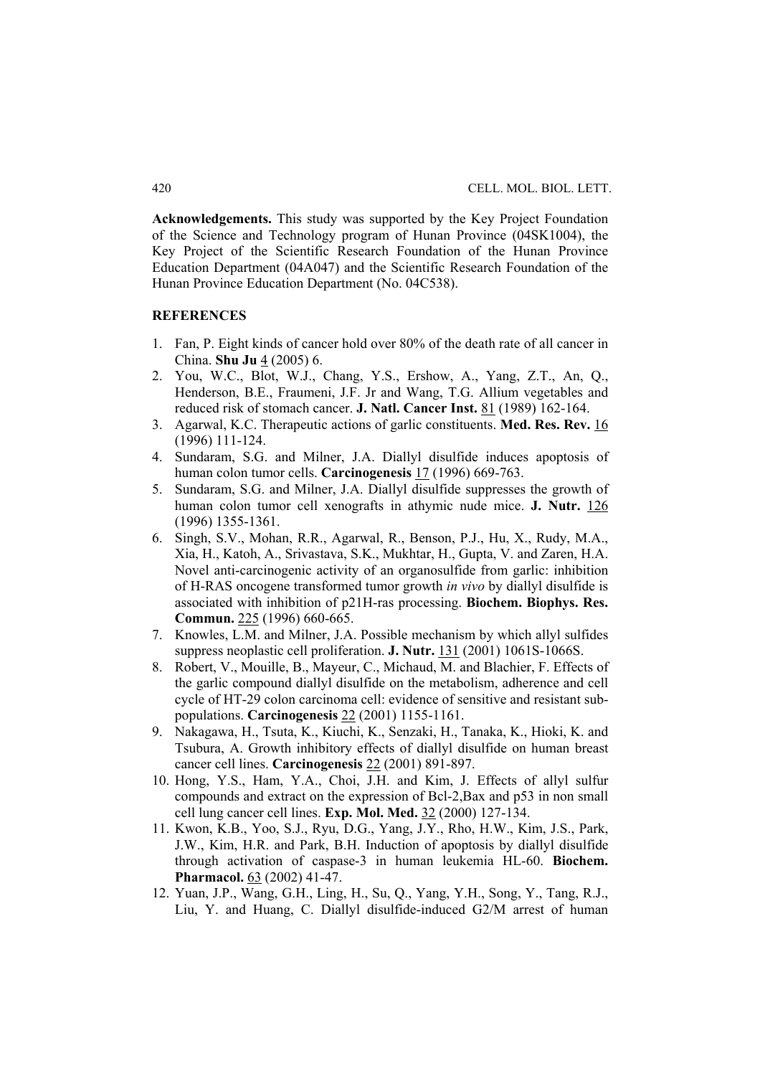**Acknowledgements.** This study was supported by the Key Project Foundation of the Science and Technology program of Hunan Province (04SK1004), the Key Project of the Scientific Research Foundation of the Hunan Province Education Department (04A047) and the Scientific Research Foundation of the Hunan Province Education Department (No. 04C538).

# **REFERENCES**

- 1. Fan, P. Eight kinds of cancer hold over 80% of the death rate of all cancer in China. **Shu Ju** 4 (2005) 6.
- 2. You, W.C., Blot, W.J., Chang, Y.S., Ershow, A., Yang, Z.T., An, Q., Henderson, B.E., Fraumeni, J.F. Jr and Wang, T.G. Allium vegetables and reduced risk of stomach cancer. **J. Natl. Cancer Inst.** 81 (1989) 162-164.
- 3. Agarwal, K.C. Therapeutic actions of garlic constituents. **Med. Res. Rev.** 16 (1996) 111-124.
- 4. Sundaram, S.G. and Milner, J.A. Diallyl disulfide induces apoptosis of human colon tumor cells. **Carcinogenesis** 17 (1996) 669-763.
- 5. Sundaram, S.G. and Milner, J.A. Diallyl disulfide suppresses the growth of human colon tumor cell xenografts in athymic nude mice. **J. Nutr.** 126 (1996) 1355-1361.
- 6. Singh, S.V., Mohan, R.R., Agarwal, R., Benson, P.J., Hu, X., Rudy, M.A., Xia, H., Katoh, A., Srivastava, S.K., Mukhtar, H., Gupta, V. and Zaren, H.A. Novel anti-carcinogenic activity of an organosulfide from garlic: inhibition of H-RAS oncogene transformed tumor growth *in vivo* by diallyl disulfide is associated with inhibition of p21H-ras processing. **Biochem. Biophys. Res. Commun.** 225 (1996) 660-665.
- 7. Knowles, L.M. and Milner, J.A. Possible mechanism by which allyl sulfides suppress neoplastic cell proliferation. **J. Nutr.** 131 (2001) 1061S-1066S.
- 8. Robert, V., Mouille, B., Mayeur, C., Michaud, M. and Blachier, F. Effects of the garlic compound diallyl disulfide on the metabolism, adherence and cell cycle of HT-29 colon carcinoma cell: evidence of sensitive and resistant subpopulations. **Carcinogenesis** 22 (2001) 1155-1161.
- 9. Nakagawa, H., Tsuta, K., Kiuchi, K., Senzaki, H., Tanaka, K., Hioki, K. and Tsubura, A. Growth inhibitory effects of diallyl disulfide on human breast cancer cell lines. **Carcinogenesis** 22 (2001) 891-897.
- 10. Hong, Y.S., Ham, Y.A., Choi, J.H. and Kim, J. Effects of allyl sulfur compounds and extract on the expression of Bcl-2,Bax and p53 in non small cell lung cancer cell lines. **Exp. Mol. Med.** 32 (2000) 127-134.
- 11. Kwon, K.B., Yoo, S.J., Ryu, D.G., Yang, J.Y., Rho, H.W., Kim, J.S., Park, J.W., Kim, H.R. and Park, B.H. Induction of apoptosis by diallyl disulfide through activation of caspase-3 in human leukemia HL-60. **Biochem. Pharmacol.** 63 (2002) 41-47.
- 12. Yuan, J.P., Wang, G.H., Ling, H., Su, Q., Yang, Y.H., Song, Y., Tang, R.J., Liu, Y. and Huang, C. Diallyl disulfide-induced G2/M arrest of human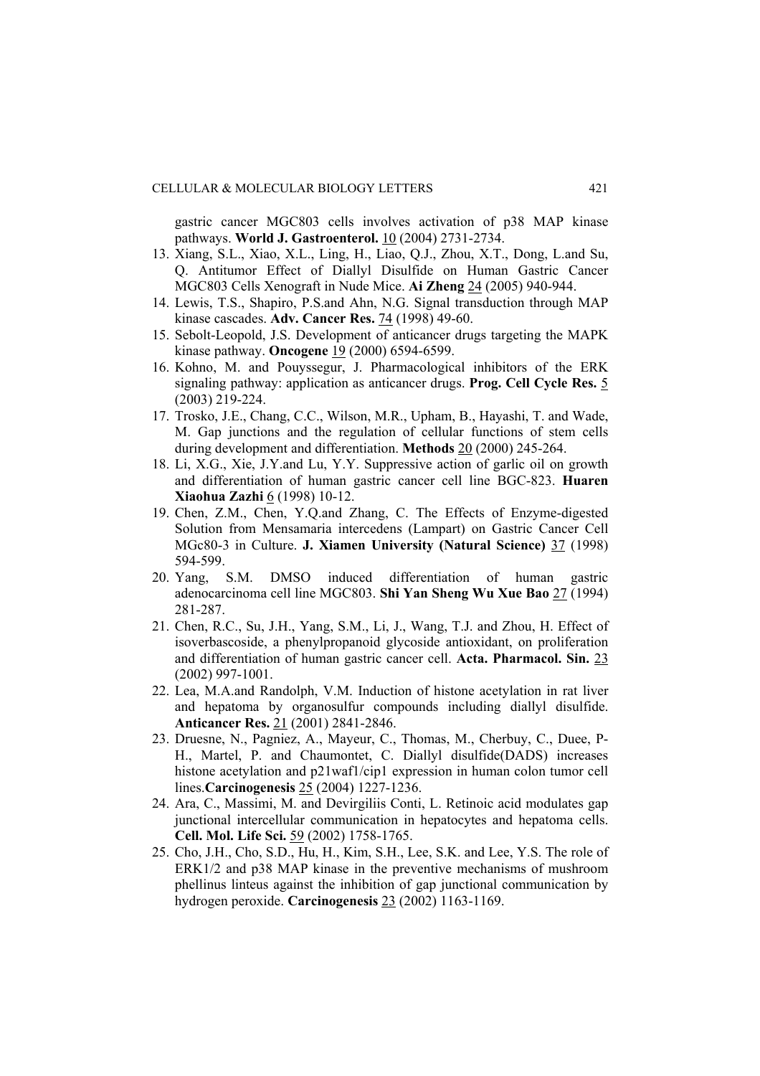gastric cancer MGC803 cells involves activation of p38 MAP kinase pathways. **World J. Gastroenterol.** 10 (2004) 2731-2734.

- 13. Xiang, S.L., Xiao, X.L., Ling, H., Liao, Q.J., Zhou, X.T., Dong, L.and Su, Q. Antitumor Effect of Diallyl Disulfide on Human Gastric Cancer MGC803 Cells Xenograft in Nude Mice. **Ai Zheng** 24 (2005) 940-944.
- 14. Lewis, T.S., Shapiro, P.S.and Ahn, N.G. Signal transduction through MAP kinase cascades. **Adv. Cancer Res.** 74 (1998) 49-60.
- 15. Sebolt-Leopold, J.S. Development of anticancer drugs targeting the MAPK kinase pathway. **Oncogene** 19 (2000) 6594-6599.
- 16. Kohno, M. and Pouyssegur, J. Pharmacological inhibitors of the ERK signaling pathway: application as anticancer drugs. **Prog. Cell Cycle Res.** 5 (2003) 219-224.
- 17. Trosko, J.E., Chang, C.C., Wilson, M.R., Upham, B., Hayashi, T. and Wade, M. Gap junctions and the regulation of cellular functions of stem cells during development and differentiation. **Methods** 20 (2000) 245-264.
- 18. Li, X.G., Xie, J.Y.and Lu, Y.Y. Suppressive action of garlic oil on growth and differentiation of human gastric cancer cell line BGC-823. **Huaren Xiaohua Zazhi** 6 (1998) 10-12.
- 19. Chen, Z.M., Chen, Y.Q.and Zhang, C. The Effects of Enzyme-digested Solution from Mensamaria intercedens (Lampart) on Gastric Cancer Cell MGc80-3 in Culture. **J. Xiamen University (Natural Science)** 37 (1998) 594-599.
- 20. Yang, S.M. DMSO induced differentiation of human gastric adenocarcinoma cell line MGC803. **Shi Yan Sheng Wu Xue Bao** 27 (1994) 281-287.
- 21. Chen, R.C., Su, J.H., Yang, S.M., Li, J., Wang, T.J. and Zhou, H. Effect of isoverbascoside, a phenylpropanoid glycoside antioxidant, on proliferation and differentiation of human gastric cancer cell. **Acta. Pharmacol. Sin.** 23 (2002) 997-1001.
- 22. Lea, M.A.and Randolph, V.M. Induction of histone acetylation in rat liver and hepatoma by organosulfur compounds including diallyl disulfide. **Anticancer Res.** 21 (2001) 2841-2846.
- 23. Druesne, N., Pagniez, A., Mayeur, C., Thomas, M., Cherbuy, C., Duee, P-H., Martel, P. and Chaumontet, C. Diallyl disulfide(DADS) increases histone acetylation and p21waf1/cip1 expression in human colon tumor cell lines.**Carcinogenesis** 25 (2004) 1227-1236.
- 24. Ara, C., Massimi, M. and Devirgiliis Conti, L. Retinoic acid modulates gap junctional intercellular communication in hepatocytes and hepatoma cells. **Cell. Mol. Life Sci.** 59 (2002) 1758-1765.
- 25. Cho, J.H., Cho, S.D., Hu, H., Kim, S.H., Lee, S.K. and Lee, Y.S. The role of ERK1/2 and p38 MAP kinase in the preventive mechanisms of mushroom phellinus linteus against the inhibition of gap junctional communication by hydrogen peroxide. **Carcinogenesis** 23 (2002) 1163-1169.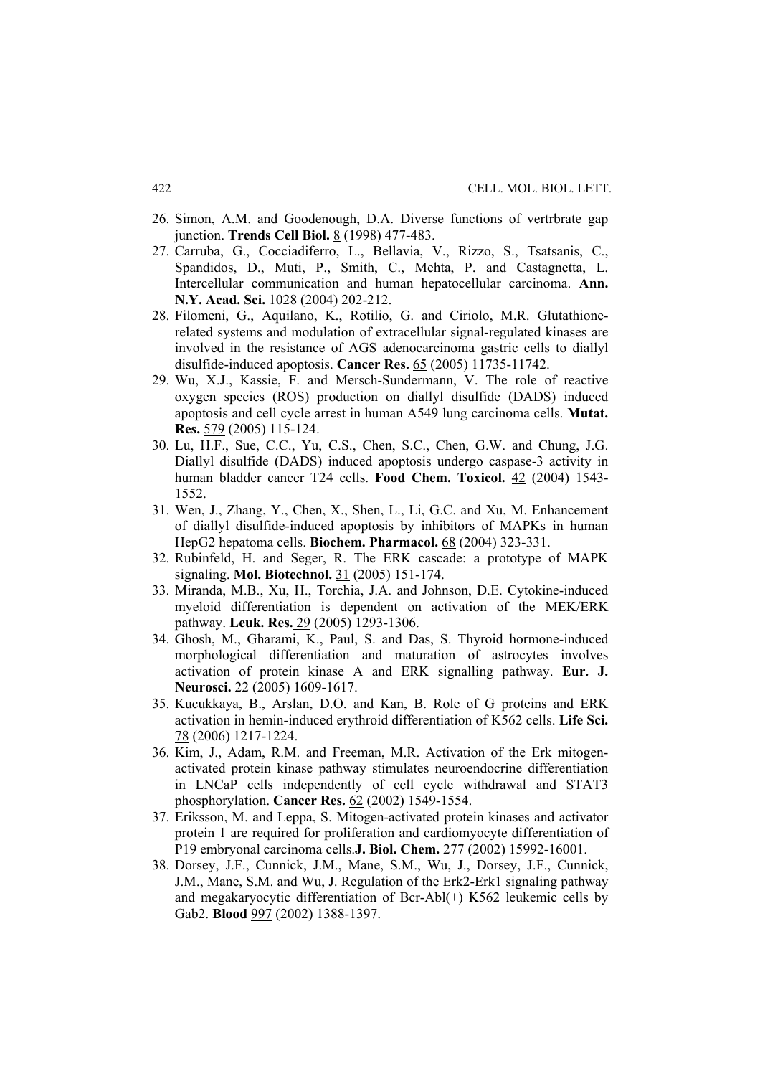- 26. Simon, A.M. and Goodenough, D.A. Diverse functions of vertrbrate gap junction. **Trends Cell Biol.** 8 (1998) 477-483.
- 27. Carruba, G., Cocciadiferro, L., Bellavia, V., Rizzo, S., Tsatsanis, C., Spandidos, D., Muti, P., Smith, C., Mehta, P. and Castagnetta, L. Intercellular communication and human hepatocellular carcinoma. **Ann. N.Y. Acad. Sci.** 1028 (2004) 202-212.
- 28. Filomeni, G., Aquilano, K., Rotilio, G. and Ciriolo, M.R. Glutathionerelated systems and modulation of extracellular signal-regulated kinases are involved in the resistance of AGS adenocarcinoma gastric cells to diallyl disulfide-induced apoptosis. **Cancer Res.** 65 (2005) 11735-11742.
- 29. Wu, X.J., Kassie, F. and Mersch-Sundermann, V. The role of reactive oxygen species (ROS) production on diallyl disulfide (DADS) induced apoptosis and cell cycle arrest in human A549 lung carcinoma cells. **Mutat. Res.** 579 (2005) 115-124.
- 30. Lu, H.F., Sue, C.C., Yu, C.S., Chen, S.C., Chen, G.W. and Chung, J.G. Diallyl disulfide (DADS) induced apoptosis undergo caspase-3 activity in human bladder cancer T24 cells. **Food Chem. Toxicol.** 42 (2004) 1543- 1552.
- 31. Wen, J., Zhang, Y., Chen, X., Shen, L., Li, G.C. and Xu, M. Enhancement of diallyl disulfide-induced apoptosis by inhibitors of MAPKs in human HepG2 hepatoma cells. **Biochem. Pharmacol.** 68 (2004) 323-331.
- 32. Rubinfeld, H. and Seger, R. The ERK cascade: a prototype of MAPK signaling. **Mol. Biotechnol.** 31 (2005) 151-174.
- 33. Miranda, M.B., Xu, H., Torchia, J.A. and Johnson, D.E. Cytokine-induced myeloid differentiation is dependent on activation of the MEK/ERK pathway. **Leuk. Res.** 29 (2005) 1293-1306.
- 34. Ghosh, M., Gharami, K., Paul, S. and Das, S. Thyroid hormone-induced morphological differentiation and maturation of astrocytes involves activation of protein kinase A and ERK signalling pathway. **Eur. J. Neurosci.** 22 (2005) 1609-1617.
- 35. Kucukkaya, B., Arslan, D.O. and Kan, B. Role of G proteins and ERK activation in hemin-induced erythroid differentiation of K562 cells. **Life Sci.** 78 (2006) 1217-1224.
- 36. Kim, J., Adam, R.M. and Freeman, M.R. Activation of the Erk mitogenactivated protein kinase pathway stimulates neuroendocrine differentiation in LNCaP cells independently of cell cycle withdrawal and STAT3 phosphorylation. **Cancer Res.** 62 (2002) 1549-1554.
- 37. Eriksson, M. and Leppa, S. Mitogen-activated protein kinases and activator protein 1 are required for proliferation and cardiomyocyte differentiation of P19 embryonal carcinoma cells.**J. Biol. Chem.** 277 (2002) 15992-16001.
- 38. Dorsey, J.F., Cunnick, J.M., Mane, S.M., Wu, J., Dorsey, J.F., Cunnick, J.M., Mane, S.M. and Wu, J. Regulation of the Erk2-Erk1 signaling pathway and megakaryocytic differentiation of Bcr-Abl(+) K562 leukemic cells by Gab2. **Blood** 997 (2002) 1388-1397.